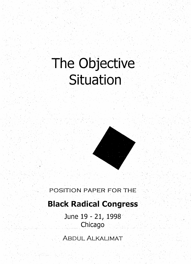# **The Objective Situation**



### POSITION PAPER FOR THE

### **Black Radical Congress**

June 19 - 21, 1998 Chicago

ABDUL ALKALIMAT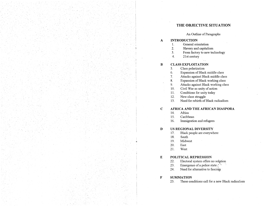### **THE OBJECTIVE SITUATION**

#### An Outline of Paragraphs

# **A INTRODUCTION**<br>1. General oriental

- 1. General orientation<br>2. Slavery and capitali
- 2. Slavery and capitalism<br>3. From factory to new tec
- From factory to new technology
- 4. 21st century

## **B CLASS EXPLOITATION**<br>5. **Class polarization**

- 5. Class polarization
- 6. Expansion of Black middle class<br>7. Attacks against Black middle cla
- Attacks against Black middle class
- 8. Expansion of Black working class
- 9. Attacks against Black working class
- 10. Civil War as unity of action
- 11. Conditions for unity today
- 12. New class struggle
- 13. Need for rebirth of Black radicalism

# **c AFRICA AND THE AFRICAN DIASPORA**

- Africa
- 15. Caribbean
- 16. Immigration and refugees

#### **D US REGIONAL DIVERSITY**

- 17. Black people are everywhere
- 18. South
- \* 19. Midwest<br>20. East
	- 20. East
	- 21. West

#### **E POLITICAL REPRESSION**

- 22. Electoral system offers no solution<br>23. Emergence of a police state
- Emergence of a police state  $\mathbb{R}^n$
- 24. Need for alternative to fascism

#### **F SUMMATION**

25. These conditions call for a new Black radicalism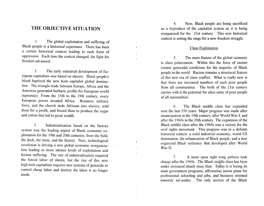### **THE OBJECTIVE SITUATION**

l. The global exploitation and suffering of Black people is a historical experience. There has been a certain historical context leading to each form of oppression. Each time the context changed, the fight for freedom advanced.

2. The early industrial development of European capitalism was based on slavery. Black people's blood baptized the new born capitalist global domination. The triangle trade between Europe, Africa and the Americas generated barbaric profits for European world supremacy. From the 15th to the 19th century, every European power invaded. Africa. Business, military force, and the church stole Africans into slavery, sold them for a profit, and forced them to produce the sugar and cotton that led to great wealth.

3. Industrialization based on the factory system was the leading aspect of Black economic exploitation for the 19th and 20th centuries, from the field, the dock, the mine, and the factory. Now, teclmological revolution is driving a new global economic reorganization leading to more intense levels of exploitation and human suffering. The rise of industrialization required the forced labor of slaves, but the rise of this new high-tech capitalism requires new systems of genocide to control cheap labor and destroy the labor it no longer needs.

4. Now, Black people are being sacrificed as a byproduct of the capitalist system as it is being reorganized for the 21st century. This new historical context is setting the stage for a new freedom struggle.

#### Class Exploitation

5. The main feature of the global economy is class polarization. Within this the force of racism creates genocidal conditions for the majority of Black people in the world. Racism remains a structural feature of this new era of class conflict. What is really new is that there are increased numbers of such poor people from all communities. The birth of the 21st century carries with it the potential for class unity of poor people of all nationalities.

6. The Black middle class has expanded over the last 150 years. Major progress was made after emancipation in the 19th century, after World War I, and after the 1960s in the 20th century. The expansion of the Black middle class after the 1960s was a victory for the civil rights movement. This progress was in a definite historical context: a solid industrial economy, world US domination, the urbanization of Black people, and a new organized Black militancy that developed after World War II.

7. A more open right wing politics took charge after the 1960s. The Black middle class has been under increased attack since then. Today it is losing its main government programs, affirmative action plans for professional schooling and jobs, and business oriented minority set-asides. The only sectors of the Black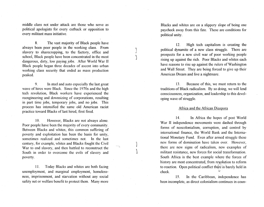middle class not under attack are those who serve as political apologists for every cutback or opposition to every militant mass initiative.

8. The vast majority of Black people have always been poor people in the working class. From slavery to sharecropping, to the factory, office and school, Black people have been concentrated in the most dangerous, dirty, low paying jobs. After World War II Black people began three decades of ascent into urban working class security that ended as mass production peaked.

9. In steel and auto especially the last great wave of hires were Black. Since the 1970s and the high tech revolution, Black workers have experienced the reengineering and downsizing of corporations, resulting in part time jobs, temporary jobs, and no jobs. This process has intensified the same old American racist practice toward Blacks of last hired, first fired.

10. However, Blacks are not always alone. Poor people have been the majority of every community. Between Blacks and whites, this common suffering of poverty and exploitation has been the basis for unity, sometimes realized and sometimes not. In the last century, for example, whites and Blacks fought the Civil War to end slavery, and then battled to reconstruct the South in order to overcome the evils of slavery and poverty.

II. Today Blacks and whites are both facing unemployment, and marginal employment, homelessness, imprisonment, and starvation without any social safety net or welfare benefit to protect them. Many more

Blacks and whites are on a slippery slope of being one paycheck away from this fate. These are conditions for political unity.

12. High tech capitalism is creating the political dynamite of a new class struggle. There are prospects for a new civil war of poor working people rising up against the rich. Poor Blacks and whites each have reasons to rise up against the rulers of Washington and Wall Street. They are being forced to give up their American Dream and live a nightmare.

J )

> 13. Because of this, we must return to the traditions of Black radicalism. By so doing, we will lend consciousness, organization, and leadership to this devel oping wave of struggle.

#### Africa and the African Diaspora

14. In Africa the hopes of post World War II independence movements were dashed through forms of neocolonialism, corruption, and control by international finance, the World Bank and the International Monetary Fund. Even after armed struggle these new forms of domination have taken over. However, there are new signs of radicalism, new examples of militant resistance, new forces for social transformation. South Africa is the best example where the forces of history are most concentrated, from revolution to reform to reaction. Open political conflict there is barely held in check.

15. In the Caribbean, independence has been incomplete, as direct colonialism continues in coun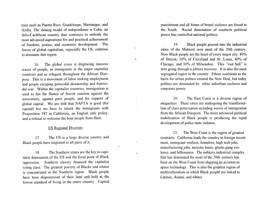tries such as Puerto Rico, Guadeloupe, Martinique, and Aruba. The shining model of independence is Cuba, an Afro-Caribbean country that continues to embody the most advanced aspirations for and practical achievement of freedom, justice, and economic development. The forces of global capitalism, especially the US, continue to dominate this region.

16. The global crisis is displacing massive waves of people, as immigrants in the major capitalist countries and as refugees throughout the Mrican Diaspora. This is a movement of labor seeking employment and people escaping genocidal dictatorship and fratricidal war. Within the capitalist countries, immigration is used to fan the flames of fascist reaction against the newcomers, against poor people, and for support of global capital. We are told that NAFTA is good (for capital) but we have to attack the immigrants with Proposition 187 in California, an English only policy, and a refusal to welcome the boat people from Haiti.

#### US Regional Diversity

17. The US is a large diverse country and Black people have migrated to all parts of it.

18. The Southern states are the key to capitalist domination of the US and the focal point of Black oppression. Southern slavery financed the capitalist ruling class. The greatest poverty of Blacks and whites is concentrated in the Southern region. Black people have been dispossessed of their land and held at the lowest standard of living in the entire country. Capital punishment and all forms of brutal violence are found in the South. Racial domination of southern political power has controlled national politics.

19. · Black people poured into the industrial cities of the Midwest over most of the 20th century. Now Black people are the heart of every major city: 80% of Detroit, 50% of Cleveland and St. Louis, 40% of Chicago, and 30% of Milwaukee. This "rust belt" is now going through a jobless recovery. It is also the most segregated region in the country. Ethnic coalitions as the basis for urban politics created the New Deal, but today politics are dominated by white suburban enclaves and corporate power.

 $\hat{\mathbf{x}}$ 

raig,

20. The East Coast is a diverse region of megacities. These cities are undergoing the transformation of class polarization including waves of immigration from the African Diaspora. The more advanced political mobilization of Black people is producing the rapid development of police state violence.

21. The West Coast is the region of greatest contrasts. California leads the country in foreign investment, immigrant workers, homeless, high tech jobs, manufacturing jobs, narcotic busts, ghetto gang violence, and billionaires. The military industrial complex that has dominated for most of the 20th century has been on the West Coast from shipping to aviation to space technology. This is also the greatest region of multiculturalism in which Black peopl€ are linked to Latinos, Asians, and whites.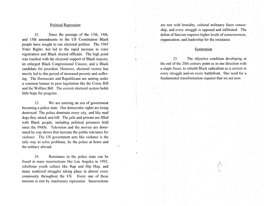#### Political Repression

22. Since the passage of the 13th, 14th, and 15th amendments to the US Constitution Black people have sought to use electoral politics. The 1965 Voter Rights Act led to the rapid increase in voter registration and Black elected officials. The high point was reached with the electoral support of Black mayors, an enlarged Black Congressional Caucus, and a Black candidate for president. However, electoral victory has merely led to this period of increased poverty and suffering. The Democrats and Republicans are uniting under a common banner to pass legislation like the Crime Bill and the Welfare Bill. The current electoral system holds little hope for progress.

23. We are entering an era of government becoming a police state. Our democratic rights are being destroyed. The police dominate every city, and like mad dogs they attack and kill. The jails and prisons are filled with Black people, including political prisoners held since the 1960s. Television and the movies are dominated by cop shows that increase the public tolerance for violence. The US government acts like violence is the only way to solve problems, by the police at home and the military abroad.

ia sij

24. Resistance to the police state can be found in mass insurrections like Los Angeles in 1992, rebellious youth culture like Rap and Hip Hop, and many scattered struggles taking place in almost every community throughout the US. Every one of these motions is met by reactionary repression. Insurrections are met with brutality, cultural militancy faces censorship, and every struggle is opposed and infiltrated. The defeat of fascism requires higher levels of consciousness, organization, and leadership for the resistance.

#### Summation

25. The objective condition developing at the end of the 20th century point us in one direction with a single focus, to rebuild Black radicalism as a current in every struggle and-on every battlefront. Our need for a fundamental transformation requires that we act now.